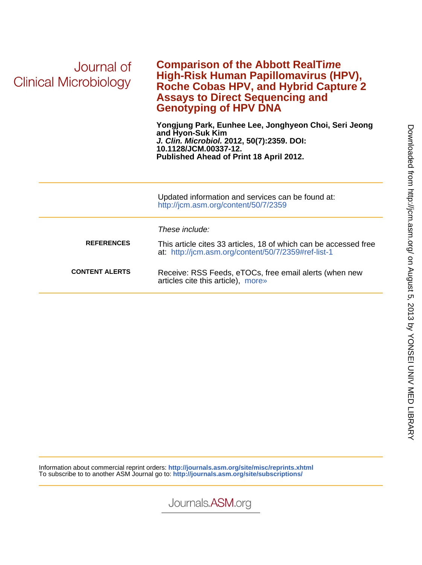| Journal of<br>Clinical Microbiology | <b>Comparison of the Abbott RealTime</b><br>High-Risk Human Papillomavirus (HPV),<br><b>Roche Cobas HPV, and Hybrid Capture 2</b><br><b>Assays to Direct Sequencing and</b><br><b>Genotyping of HPV DNA</b> |
|-------------------------------------|-------------------------------------------------------------------------------------------------------------------------------------------------------------------------------------------------------------|
|                                     | Yongjung Park, Eunhee Lee, Jonghyeon Choi, Seri Jeong<br>and Hyon-Suk Kim<br>J. Clin. Microbiol. 2012, 50(7):2359. DOI:<br>10.1128/JCM.00337-12.<br>Published Ahead of Print 18 April 2012.                 |
|                                     | Updated information and services can be found at:<br>http://jcm.asm.org/content/50/7/2359                                                                                                                   |
|                                     | These include:                                                                                                                                                                                              |
| <b>REFERENCES</b>                   | This article cites 33 articles, 18 of which can be accessed free<br>at: http://jcm.asm.org/content/50/7/2359#ref-list-1                                                                                     |
| <b>CONTENT ALERTS</b>               | Receive: RSS Feeds, eTOCs, free email alerts (when new<br>articles cite this article), more»                                                                                                                |
|                                     |                                                                                                                                                                                                             |

Information about commercial reprint orders: **http://journals.asm.org/site/misc/reprints.xhtml** To subscribe to to another ASM Journal go to: **http://journals.asm.org/site/subscriptions/**

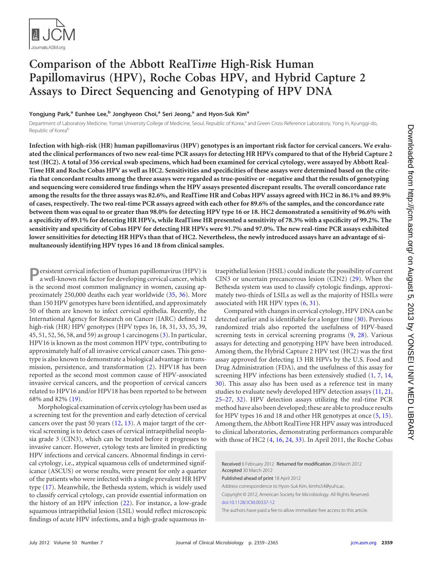

# **Comparison of the Abbott RealTi***m***e High-Risk Human Papillomavirus (HPV), Roche Cobas HPV, and Hybrid Capture 2 Assays to Direct Sequencing and Genotyping of HPV DNA**

**Yongjung Park, <sup>a</sup> Eunhee Lee, <sup>b</sup> Jonghyeon Choi, <sup>a</sup> Seri Jeong, <sup>a</sup> and Hyon-Suk Kima**

Department of Laboratory Medicine, Yonsei University College of Medicine, Seoul, Republic of Korea,<sup>a</sup> and Green Cross Reference Laboratory, Yong In, Kyunggi-do, Republic of Koreab

**Infection with high-risk (HR) human papillomavirus (HPV) genotypes is an important risk factor for cervical cancers. We evaluated the clinical performances of two new real-time PCR assays for detecting HR HPVs compared to that of the Hybrid Capture 2 test (HC2). A total of 356 cervical swab specimens, which had been examined for cervical cytology, were assayed by Abbott Real-Ti***m***e HR and Roche Cobas HPV as well as HC2. Sensitivities and specificities of these assays were determined based on the criteria that concordant results among the three assays were regarded as true-positive or -negative and that the results of genotyping and sequencing were considered true findings when the HPV assays presented discrepant results. The overall concordance rate among the results for the three assays was 82.6%, and RealTi***m***e HR and Cobas HPV assays agreed with HC2 in 86.1% and 89.9% of cases, respectively. The two real-time PCR assays agreed with each other for 89.6% of the samples, and the concordance rate between them was equal to or greater than 98.0% for detecting HPV type 16 or 18. HC2 demonstrated a sensitivity of 96.6% with a specificity of 89.1% for detecting HR HPVs, while RealTi***m***e HR presented a sensitivity of 78.3% with a specificity of 99.2%. The sensitivity and specificity of Cobas HPV for detecting HR HPVs were 91.7% and 97.0%. The new real-time PCR assays exhibited lower sensitivities for detecting HR HPVs than that of HC2. Nevertheless, the newly introduced assays have an advantage of simultaneously identifying HPV types 16 and 18 from clinical samples.**

**P**ersistent cervical infection of human papillomavirus (HPV) is a well-known risk factor for developing cervical cancer, which is the second most common malignancy in women, causing approximately 250,000 deaths each year worldwide [\(35,](#page-7-0) [36\)](#page-7-1). More than 150 HPV genotypes have been identified, and approximately 50 of them are known to infect cervical epithelia. Recently, the International Agency for Research on Cancer (IARC) defined 12 high-risk (HR) HPV genotypes (HPV types 16, 18, 31, 33, 35, 39, 45, 51, 52, 56, 58, and 59) as group 1 carcinogens [\(3\)](#page-6-0). In particular, HPV16 is known as the most common HPV type, contributing to approximately half of all invasive cervical cancer cases. This genotype is also known to demonstrate a biological advantage in transmission, persistence, and transformation [\(2\)](#page-6-1). HPV18 has been reported as the second most common cause of HPV-associated invasive cervical cancers, and the proportion of cervical cancers related to HPV16 and/or HPV18 has been reported to be between 68% and 82% [\(19\)](#page-6-2).

Morphological examination of cervix cytology has been used as a screening test for the prevention and early detection of cervical cancers over the past 50 years [\(12,](#page-6-3) [13\)](#page-6-4). A major target of the cervical screening is to detect cases of cervical intraepithelial neoplasia grade 3 (CIN3), which can be treated before it progresses to invasive cancer. However, cytology tests are limited in predicting HPV infections and cervical cancers. Abnormal findings in cervical cytology, i.e., atypical squamous cells of undetermined significance (ASCUS) or worse results, were present for only a quarter of the patients who were infected with a single prevalent HR HPV type [\(17\)](#page-6-5). Meanwhile, the Bethesda system, which is widely used to classify cervical cytology, can provide essential information on the history of an HPV infection [\(22\)](#page-6-6). For instance, a low-grade squamous intraepithelial lesion (LSIL) would reflect microscopic findings of acute HPV infections, and a high-grade squamous intraepithelial lesion (HSIL) could indicate the possibility of current CIN3 or uncertain precancerous lesion (CIN2) [\(29\)](#page-7-2). When the Bethesda system was used to classify cytologic findings, approximately two-thirds of LSILs as well as the majority of HSILs were associated with HR HPV types [\(6,](#page-6-7) [31\)](#page-7-3).

Compared with changes in cervical cytology, HPV DNA can be detected earlier and is identifiable for a longer time [\(30\)](#page-7-4). Previous randomized trials also reported the usefulness of HPV-based screening tests in cervical screening programs [\(9,](#page-6-8) [28\)](#page-7-5). Various assays for detecting and genotyping HPV have been introduced. Among them, the Hybrid Capture 2 HPV test (HC2) was the first assay approved for detecting 13 HR HPVs by the U.S. Food and Drug Administration (FDA), and the usefulness of this assay for screening HPV infections has been extensively studied [\(1,](#page-6-9) [7,](#page-6-10) [14,](#page-6-11) [30\)](#page-7-4). This assay also has been used as a reference test in many studies to evaluate newly developed HPV detection assays [\(11,](#page-6-12) [21,](#page-6-13) [25–](#page-7-6)[27,](#page-7-7) [32\)](#page-7-8). HPV detection assays utilizing the real-time PCR method have also been developed; these are able to produce results for HPV types 16 and 18 and other HR genotypes at once [\(5,](#page-6-14) [15\)](#page-6-15). Among them, the Abbott RealTi*m*e HR HPV assay was introduced to clinical laboratories, demonstrating performances comparable with those of HC2 [\(4,](#page-6-16) [16,](#page-6-17) [24,](#page-7-9) [33\)](#page-7-10). In April 2011, the Roche Cobas

Received 6 February 2012 Returned for modification 20 March 2012 Accepted 30 March 2012

Published ahead of print 18 April 2012

Address correspondence to Hyon-Suk Kim, kimhs54@yuhs.ac.

Copyright © 2012, American Society for Microbiology. All Rights Reserved. [doi:10.1128/JCM.00337-12](http://dx.doi.org/10.1128/JCM.00337-12)

The authors have paid a fee to allow immediate free access to this article.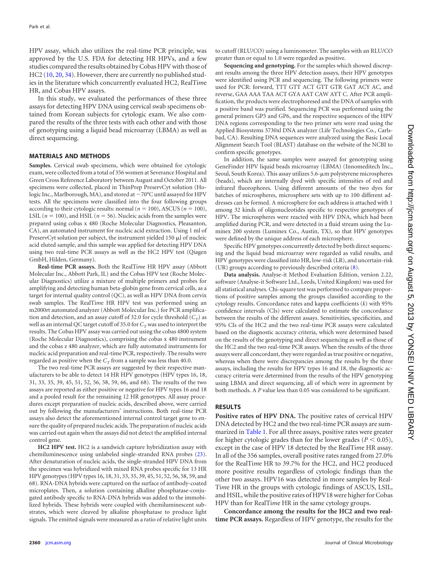HPV assay, which also utilizes the real-time PCR principle, was approved by the U.S. FDA for detecting HR HPVs, and a few studies compared the results obtained by Cobas HPV with those of HC2 [\(10,](#page-6-18) [20,](#page-6-19) [34\)](#page-7-11). However, there are currently no published studies in the literature which concurrently evaluated HC2, RealTi*m*e HR, and Cobas HPV assays.

In this study, we evaluated the performances of these three assays for detecting HPV DNA using cervical swab specimens obtained from Korean subjects for cytologic exam. We also compared the results of the three tests with each other and with those of genotyping using a liquid bead microarray (LBMA) as well as direct sequencing.

#### **MATERIALS AND METHODS**

**Samples.** Cervical swab specimens, which were obtained for cytologic exam, were collected from a total of 356 women at Severance Hospital and Green Cross Reference Laboratory between August and October 2011. All specimens were collected, placed in ThinPrep PreservCyt solution (Hologic Inc., Marlborough, MA), and stored at  $-70^{\circ}$ C until assayed for HPV tests. All the specimens were classified into the four following groups according to their cytologic results: normal ( $n = 100$ ), ASCUS ( $n = 100$ ), LSIL ( $n = 100$ ), and HSIL ( $n = 56$ ). Nucleic acids from the samples were prepared using cobas x 480 (Roche Molecular Diagnostics, Pleasanton, CA), an automated instrument for nucleic acid extraction. Using 1 ml of PreservCyt solution per subject, the instrument yielded 150  $\mu$ l of nucleic acid eluted sample, and this sample was applied for detecting HPV DNA using two real-time PCR assays as well as the HC2 HPV test (Qiagen GmbH, Hilden, Germany).

**Real-time PCR assays.** Both the RealTi*m*e HR HPV assay (Abbott Molecular Inc., Abbott Park, IL) and the Cobas HPV test (Roche Molecular Diagnostics) utilize a mixture of multiple primers and probes for amplifying and detecting human beta-globin gene from cervical cells, as a target for internal quality control (QC), as well as HPV DNA from cervix swab samples. The RealTi*m*e HR HPV test was performed using an m2000rt automated analyzer (Abbott Molecular Inc.) for PCR amplification and detection, and an assay cutoff of 32.0 for cycle threshold  $(C_T)$  as well as an internal QC target cutoff of 35.0 for  $C_T$  was used to interpret the results. The Cobas HPV assay was carried out using the cobas 4800 system (Roche Molecular Diagnostics), comprising the cobas x 480 instrument and the cobas z 480 analyzer, which are fully automated instruments for nucleic acid preparation and real-time PCR, respectively. The results were regarded as positive when the  $C_T$  from a sample was less than 40.0.

The two real-time PCR assays are suggested by their respective manufacturers to be able to detect 14 HR HPV genotypes (HPV types 16, 18, 31, 33, 35, 39, 45, 51, 52, 56, 58, 59, 66, and 68). The results of the two assays are reported as either positive or negative for HPV types 16 and 18 and a pooled result for the remaining 12 HR genotypes. All assay procedures except preparation of nucleic acids, described above, were carried out by following the manufacturers' instructions. Both real-time PCR assays also detect the aforementioned internal control target gene to ensure the quality of prepared nucleic acids. The preparation of nucleic acids was carried out again when the assays did not detect the amplified internal control gene.

**HC2 HPV test.** HC2 is a sandwich capture hybridization assay with chemiluminescence using unlabeled single-stranded RNA probes [\(23\)](#page-6-20). After denaturation of nucleic acids, the single-stranded HPV DNA from the specimen was hybridized with mixed RNA probes specific for 13 HR HPV genotypes (HPV types 16, 18, 31, 33, 35, 39, 45, 51, 52, 56, 58, 59, and 68). RNA-DNA hybrids were captured on the surface of antibody-coated microplates. Then, a solution containing alkaline phosphatase-conjugated antibody specific to RNA-DNA hybrids was added to the immobilized hybrids. These hybrids were coupled with chemiluminescent substrates, which were cleaved by alkaline phosphatase to produce light signals. The emitted signals were measured as a ratio of relative light units

to cutoff (RLU/CO) using a luminometer. The samples with an RLU/CO greater than or equal to 1.0 were regarded as positive.

**Sequencing and genotyping.** For the samples which showed discrepant results among the three HPV detection assays, their HPV genotypes were identified using PCR and sequencing. The following primers were used for PCR: forward, TTT GTT ACT GTT GTR GAT ACY AC, and reverse, GAA AAA TAA ACT GYA AAT CAW AYT C. After PCR amplification, the products were electrophoresed and the DNA of samples with a positive band was purified. Sequencing PCR was performed using the general primers GP5 and GP6, and the respective sequences of the HPV DNA regions corresponding to the two primer sets were read using the Applied Biosystems 3730xl DNA analyzer (Life Technologies Co., Carlsbad, CA). Resulting DNA sequences were analyzed using the Basic Local Alignment Search Tool (BLAST) database on the website of the NCBI to confirm specific genotypes.

In addition, the same samples were assayed for genotyping using GeneFinder HPV liquid beads microarray (LBMA) (Innomeditech Inc., Seoul, South Korea). This assay utilizes 5.6- $\mu$ m polystyrene microspheres (beads), which are internally dyed with specific intensities of red and infrared fluorophores. Using different amounts of the two dyes for batches of microspheres, microsphere sets with up to 100 different addresses can be formed. A microsphere for each address is attached with 1 among 32 kinds of oligonucleotides specific to respective genotypes of HPV. The microspheres were reacted with HPV DNA, which had been amplified during PCR, and were detected in a fluid stream using the Luminex 200 system (Luminex Co., Austin, TX), so that HPV genotypes were defined by the unique address of each microsphere.

Specific HPV genotypes concurrently detected by both direct sequencing and the liquid bead microarray were regarded as valid results, and HPV genotypes were classified into HR, low-risk (LR), and uncertain-risk (UR) groups according to previously described criteria [\(8\)](#page-6-21).

**Data analysis.** Analyse-it Method Evaluation Edition, version 2.22, software (Analyse-it Software Ltd., Leeds, United Kingdom) was used for all statistical analyses. Chi-square test was performed to compare proportions of positive samples among the groups classified according to the cytology results. Concordance rates and kappa coefficients (*k*) with 95% confidence intervals (CIs) were calculated to estimate the concordance between the results of the different assays. Sensitivities, specificities, and 95% CIs of the HC2 and the two real-time PCR assays were calculated based on the diagnostic accuracy criteria, which were determined based on the results of the genotyping and direct sequencing as well as those of the HC2 and the two real-time PCR assays. When the results of the three assays were all concordant, they were regarded as true positive or negative, whereas when there were discrepancies among the results by the three assays, including the results for HPV types 16 and 18, the diagnostic accuracy criteria were determined from the results of the HPV genotyping using LBMA and direct sequencing, all of which were in agreement by both methods. A *P* value less than 0.05 was considered to be significant.

## **RESULTS**

**Positive rates of HPV DNA.** The positive rates of cervical HPV DNA detected by HC2 and the two real-time PCR assays are sum-marized in [Table 1.](#page-3-0) For all three assays, positive rates were greater for higher cytologic grades than for the lower grades ( $P < 0.05$ ), except in the case of HPV 18 detected by the RealTi*m*e HR assay. In all of the 356 samples, overall positive rates ranged from 27.0% for the RealTi*m*e HR to 39.7% for the HC2, and HC2 produced more positive results regardless of cytologic findings than the other two assays. HPV16 was detected in more samples by Real-Ti*m*e HR in the groups with cytologic findings of ASCUS, LSIL, and HSIL, while the positive rates of HPV18 were higher for Cobas HPV than for RealTi*m*e HR in the same cytology groups.

**Concordance among the results for the HC2 and two realtime PCR assays.** Regardless of HPV genotype, the results for the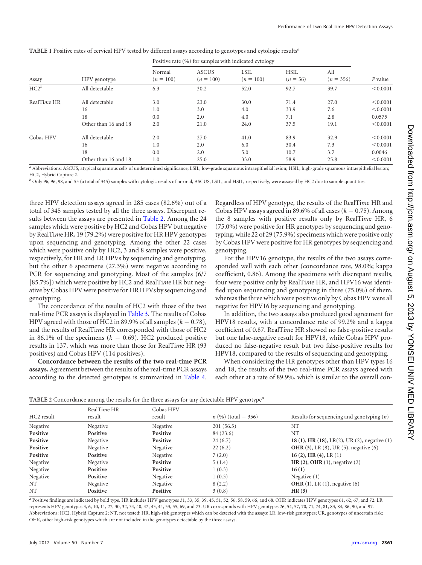<span id="page-3-0"></span>

| TABLE 1 Positive rates of cervical HPV tested by different assays according to genotypes and cytologic results <sup>a</sup> |  |  |  |  |
|-----------------------------------------------------------------------------------------------------------------------------|--|--|--|--|
|-----------------------------------------------------------------------------------------------------------------------------|--|--|--|--|

|             |                      | Positive rate (%) for samples with indicated cytology |                             |                     |                           |                    |          |
|-------------|----------------------|-------------------------------------------------------|-----------------------------|---------------------|---------------------------|--------------------|----------|
| Assay       | HPV genotype         | Normal<br>$(n = 100)$                                 | <b>ASCUS</b><br>$(n = 100)$ | LSIL<br>$(n = 100)$ | <b>HSIL</b><br>$(n = 56)$ | All<br>$(n = 356)$ | P value  |
| $HC2^b$     | All detectable       | 6.3                                                   | 30.2                        | 52.0                | 92.7                      | 39.7               | < 0.0001 |
| RealTime HR | All detectable       | 3.0                                                   | 23.0                        | 30.0                | 71.4                      | 27.0               | < 0.0001 |
|             | 16                   | 1.0                                                   | 3.0                         | 4.0                 | 33.9                      | 7.6                | < 0.0001 |
|             | 18                   | 0.0                                                   | 2.0                         | 4.0                 | 7.1                       | 2.8                | 0.0575   |
|             | Other than 16 and 18 | 2.0                                                   | 21.0                        | 24.0                | 37.5                      | 19.1               | < 0.0001 |
| Cobas HPV   | All detectable       | 2.0                                                   | 27.0                        | 41.0                | 83.9                      | 32.9               | < 0.0001 |
|             | 16                   | 1.0                                                   | 2.0                         | 6.0                 | 30.4                      | 7.3                | < 0.0001 |
|             | 18                   | 0.0                                                   | 2.0                         | 5.0                 | 10.7                      | 3.7                | 0.0046   |
|             | Other than 16 and 18 | 1.0                                                   | 25.0                        | 33.0                | 58.9                      | 25.8               | < 0.0001 |

*<sup>a</sup>* Abbreviations: ASCUS, atypical squamous cells of undetermined significance; LSIL, low-grade squamous intraepithelial lesion; HSIL, high-grade squamous intraepithelial lesion; HC2, Hybrid Capture 2.

*<sup>b</sup>* Only 96, 96, 98, and 55 (a total of 345) samples with cytologic results of normal, ASCUS, LSIL, and HSIL, respectively, were assayed by HC2 due to sample quantities.

three HPV detection assays agreed in 285 cases (82.6%) out of a total of 345 samples tested by all the three assays. Discrepant re-sults between the assays are presented in [Table 2.](#page-3-1) Among the 24 samples which were positive by HC2 and Cobas HPV but negative by RealTi*m*e HR, 19 (79.2%) were positive for HR HPV genotypes upon sequencing and genotyping. Among the other 22 cases which were positive only by HC2, 3 and 8 samples were positive, respectively, for HR and LR HPVs by sequencing and genotyping, but the other 6 specimens (27.3%) were negative according to PCR for sequencing and genotyping. Most of the samples (6/7 [85.7%]) which were positive by HC2 and RealTi*m*e HR but negative by Cobas HPV were positive for HR HPVs by sequencing and genotyping.

The concordance of the results of HC2 with those of the two real-time PCR assays is displayed in [Table 3.](#page-4-0) The results of Cobas HPV agreed with those of HC2 in 89.9% of all samples  $(k = 0.78)$ , and the results of RealTi*m*e HR corresponded with those of HC2 in 86.1% of the specimens  $(k = 0.69)$ . HC2 produced positive results in 137, which was more than those for RealTi*m*e HR (93 positives) and Cobas HPV (114 positives).

**Concordance between the results of the two real-time PCR assays.** Agreement between the results of the real-time PCR assays according to the detected genotypes is summarized in [Table 4.](#page-4-1)

Regardless of HPV genotype, the results of the RealTi*m*e HR and Cobas HPV assays agreed in 89.6% of all cases  $(k = 0.75)$ . Among the 8 samples with positive results only by RealTi*m*e HR, 6 (75.0%) were positive for HR genotypes by sequencing and genotyping, while 22 of 29 (75.9%) specimens which were positive only by Cobas HPV were positive for HR genotypes by sequencing and genotyping.

For the HPV16 genotype, the results of the two assays corresponded well with each other (concordance rate, 98.0%; kappa coefficient, 0.86). Among the specimens with discrepant results, four were positive only by RealTi*m*e HR, and HPV16 was identified upon sequencing and genotyping in three (75.0%) of them, whereas the three which were positive only by Cobas HPV were all negative for HPV16 by sequencing and genotyping.

In addition, the two assays also produced good agreement for HPV18 results, with a concordance rate of 99.2% and a kappa coefficient of 0.87. RealTi*m*e HR showed no false-positive results but one false-negative result for HPV18, while Cobas HPV produced no false-negative result but two false-positive results for HPV18, compared to the results of sequencing and genotyping.

When considering the HR genotypes other than HPV types 16 and 18, the results of the two real-time PCR assays agreed with each other at a rate of 89.9%, which is similar to the overall con-

<span id="page-3-1"></span>

| TABLE 2 Concordance among the results for the three assays for any detectable HPV genotype <sup>a</sup> |  |  |
|---------------------------------------------------------------------------------------------------------|--|--|
|                                                                                                         |  |  |

|            | RealTime HR | Cobas HPV |                       |                                              |
|------------|-------------|-----------|-----------------------|----------------------------------------------|
| HC2 result | result      | result    | $n$ (%) (total = 356) | Results for sequencing and genotyping $(n)$  |
| Negative   | Negative    | Negative  | 201(56.5)             | <b>NT</b>                                    |
| Positive   | Positive    | Positive  | 84 (23.6)             | NT                                           |
| Positive   | Negative    | Positive  | 24(6.7)               | 18 (1), HR (18), LR(2), UR (2), negative (1) |
| Positive   | Negative    | Negative  | 22(6.2)               | <b>OHR</b> (3), LR (8), UR (5), negative (6) |
| Positive   | Positive    | Negative  | 7(2.0)                | 16 (2), HR (4), LR $(1)$                     |
| Negative   | Negative    | Positive  | 5(1.4)                | HR $(2)$ , OHR $(1)$ , negative $(2)$        |
| Negative   | Positive    | Positive  | 1(0.3)                | 16(1)                                        |
| Negative   | Positive    | Negative  | 1(0.3)                | Negative $(1)$                               |
| NT         | Negative    | Negative  | 8(2.2)                | OHR $(1)$ , LR $(1)$ , negative $(6)$        |
| NT         | Positive    | Positive  | 3(0.8)                | HR(3)                                        |

*<sup>a</sup>* Positive findings are indicated by bold type. HR includes HPV genotypes 31, 33, 35, 39, 45, 51, 52, 56, 58, 59, 66, and 68. OHR indicates HPV genotypes 61, 62, 67, and 72. LR represents HPV genotypes 3, 6, 10, 11, 27, 30, 32, 34, 40, 42, 43, 44, 53, 55, 69, and 73. UR corresponds with HPV genotypes 26, 54, 57, 70, 71, 74, 81, 83, 84, 86, 90, and 97. Abbreviations: HC2, Hybrid Capture 2; NT, not tested; HR, high-risk genotypes which can be detected with the assays; LR, low-risk genotypes; UR, genotypes of uncertain risk; OHR, other high-risk genotypes which are not included in the genotypes detectable by the three assays.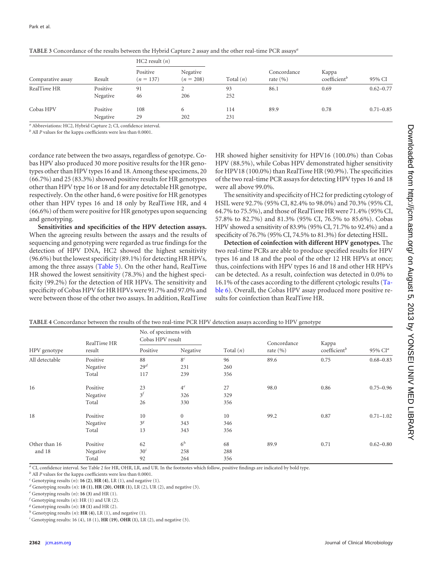|                   | Result   | HC2 result $(n)$        |                         | Total $(n)$ |                             |                                   |               |
|-------------------|----------|-------------------------|-------------------------|-------------|-----------------------------|-----------------------------------|---------------|
| Comparative assay |          | Positive<br>$(n = 137)$ | Negative<br>$(n = 208)$ |             | Concordance<br>rate $(\% )$ | Kappa<br>coefficient <sup>b</sup> | 95% CI        |
| RealTime HR       | Positive | 91                      |                         | 93          | 86.1                        | 0.69                              | $0.62 - 0.77$ |
|                   | Negative | 46                      | 206                     | 252         |                             |                                   |               |
| Cobas HPV         | Positive | 108                     | $\sigma$                | 114         | 89.9                        | 0.78                              | $0.71 - 0.85$ |
|                   | Negative | 29                      | 202                     | 231         |                             |                                   |               |

<span id="page-4-0"></span>**TABLE 3** Concordance of the results between the Hybrid Capture 2 assay and the other real-time PCR assays*<sup>a</sup>*

*<sup>a</sup>* Abbreviations: HC2, Hybrid Capture 2; CI, confidence interval.

*<sup>b</sup>* All *P* values for the kappa coefficients were less than 0.0001.

cordance rate between the two assays, regardless of genotype. Cobas HPV also produced 30 more positive results for the HR genotypes other than HPV types 16 and 18. Among these specimens, 20 (66.7%) and 25 (83.3%) showed positive results for HR genotypes other than HPV type 16 or 18 and for any detectable HR genotype, respectively. On the other hand, 6 were positive for HR genotypes other than HPV types 16 and 18 only by RealTi*m*e HR, and 4 (66.6%) of them were positive for HR genotypes upon sequencing and genotyping.

**Sensitivities and specificities of the HPV detection assays.** When the agreeing results between the assays and the results of sequencing and genotyping were regarded as true findings for the detection of HPV DNA, HC2 showed the highest sensitivity (96.6%) but the lowest specificity (89.1%) for detecting HR HPVs, among the three assays [\(Table 5\)](#page-5-0). On the other hand, RealTi*m*e HR showed the lowest sensitivity (78.3%) and the highest specificity (99.2%) for the detection of HR HPVs. The sensitivity and specificity of Cobas HPV for HR HPVs were 91.7% and 97.0% and were between those of the other two assays. In addition, RealTi*m*e

HR showed higher sensitivity for HPV16 (100.0%) than Cobas HPV (88.5%), while Cobas HPV demonstrated higher sensitivity for HPV18 (100.0%) than RealTi*m*e HR (90.9%). The specificities of the two real-time PCR assays for detecting HPV types 16 and 18 were all above 99.0%.

The sensitivity and specificity of HC2 for predicting cytology of HSIL were 92.7% (95% CI, 82.4% to 98.0%) and 70.3% (95% CI, 64.7% to 75.5%), and those of RealTi*m*e HR were 71.4% (95% CI, 57.8% to 82.7%) and 81.3% (95% CI, 76.5% to 85.6%). Cobas HPV showed a sensitivity of 83.9% (95% CI, 71.7% to 92.4%) and a specificity of 76.7% (95% CI, 74.5% to 81.3%) for detecting HSIL.

**Detection of coinfection with different HPV genotypes.** The two real-time PCRs are able to produce specified results for HPV types 16 and 18 and the pool of the other 12 HR HPVs at once; thus, coinfections with HPV types 16 and 18 and other HR HPVs can be detected. As a result, coinfection was detected in 0.0% to 16.1% of the cases according to the different cytologic results [\(Ta](#page-5-1)[ble 6\)](#page-5-1). Overall, the Cobas HPV assay produced more positive results for coinfection than RealTi*m*e HR.

<span id="page-4-1"></span>

| TABLE 4 Concordance between the results of the two real-time PCR HPV detection assays according to HPV genotype |
|-----------------------------------------------------------------------------------------------------------------|
|-----------------------------------------------------------------------------------------------------------------|

| HPV genotype   | RealTime HR<br>result | No. of specimens with<br>Cobas HPV result |                |             | Concordance  | Kappa                    |               |
|----------------|-----------------------|-------------------------------------------|----------------|-------------|--------------|--------------------------|---------------|
|                |                       | Positive                                  | Negative       | Total $(n)$ | rate $(\% )$ | coefficient <sup>b</sup> | 95% $CIa$     |
| All detectable | Positive              | 88                                        | 8 <sup>c</sup> | 96          | 89.6         | 0.75                     | $0.68 - 0.83$ |
|                | Negative              | 29 <sup>d</sup>                           | 231            | 260         |              |                          |               |
|                | Total                 | 117                                       | 239            | 356         |              |                          |               |
| 16             | Positive              | 23                                        | $4^e$          | 27          | 98.0         | 0.86                     | $0.75 - 0.96$ |
|                | Negative              | $3^f$                                     | 326            | 329         |              |                          |               |
|                | Total                 | 26                                        | 330            | 356         |              |                          |               |
| 18             | Positive              | 10                                        | $\mathbf{0}$   | 10          | 99.2         | 0.87                     | $0.71 - 1.02$ |
|                | Negative              | 3 <sup>g</sup>                            | 343            | 346         |              |                          |               |
|                | Total                 | 13                                        | 343            | 356         |              |                          |               |
| Other than 16  | Positive              | 62                                        | $6^h$          | 68          | 89.9         | 0.71                     | $0.62 - 0.80$ |
| and 18         | Negative              | 30 <sup>i</sup>                           | 258            | 288         |              |                          |               |
|                | Total                 | 92                                        | 264            | 356         |              |                          |               |

*<sup>a</sup>* CI, confidence interval. See Table 2 for HR, OHR, LR, and UR. In the footnotes which follow, positive findings are indicated by bold type.

*<sup>b</sup>* All *P* values for the kappa coefficients were less than 0.0001.

 $c^c$  Genotyping results (*n*): **16 (2)**, **HR (4)**, LR (1), and negative (1).

*<sup>d</sup>* Genotyping results (*n*): **18 (1)**, **HR (20)**, **OHR (1)**, LR (2), UR (2), and negative (3).

 $e^e$  Genotyping results  $(n)$ : **16 (3)** and HR (1).

*f* Genotyping results (*n*): HR (1) and UR (2).

 $g$  Genotyping results  $(n)$ : **18 (1)** and HR (2).

 $h$ <sup>2</sup> Genotyping results (*n*): **HR (4**), LR (1), and negative (1).

*i* Genotyping results: 16 (4), 18 (1), **HR (19)**, **OHR (1)**, LR (2), and negative (3).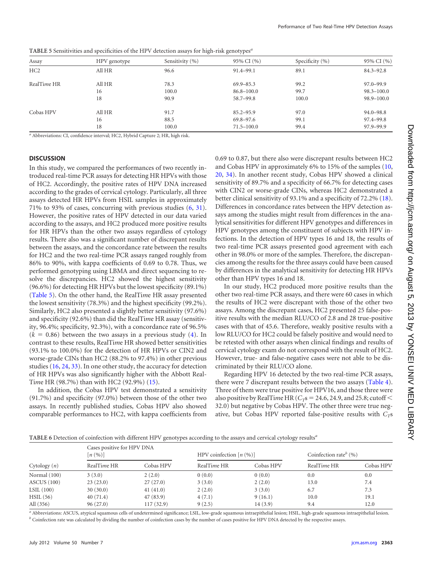| Assay       | HPV genotype | Sensitivity (%) | 95% CI (%)     | Specificity $(\% )$ | 95% CI (%)     |
|-------------|--------------|-----------------|----------------|---------------------|----------------|
| HC2         | All HR       | 96.6            | 91.4-99.1      | 89.1                | $84.3 - 92.8$  |
| RealTime HR | All HR       | 78.3            | $69.9 - 85.3$  | 99.2                | $97.0 - 99.9$  |
|             | 16           | 100.0           | $86.8 - 100.0$ | 99.7                | $98.3 - 100.0$ |
|             | 18           | 90.9            | 58.7-99.8      | 100.0               | $98.9 - 100.0$ |
| Cobas HPV   | All HR       | 91.7            | $85.2 - 95.9$  | 97.0                | $94.0 - 98.8$  |
|             | 16           | 88.5            | 69.8–97.6      | 99.1                | 97.4–99.8      |
|             | 18           | 100.0           | $71.5 - 100.0$ | 99.4                | 97.9-99.9      |
|             |              |                 |                |                     |                |

<span id="page-5-0"></span>**TABLE 5** Sensitivities and specificities of the HPV detection assays for high-risk genotypes*<sup>a</sup>*

*<sup>a</sup>* Abbreviations: CI, confidence interval; HC2, Hybrid Capture 2; HR, high risk.

## **DISCUSSION**

In this study, we compared the performances of two recently introduced real-time PCR assays for detecting HR HPVs with those of HC2. Accordingly, the positive rates of HPV DNA increased according to the grades of cervical cytology. Particularly, all three assays detected HR HPVs from HSIL samples in approximately 71% to 93% of cases, concurring with previous studies [\(6,](#page-6-7) [31\)](#page-7-3). However, the positive rates of HPV detected in our data varied according to the assays, and HC2 produced more positive results for HR HPVs than the other two assays regardless of cytology results. There also was a significant number of discrepant results between the assays, and the concordance rate between the results for HC2 and the two real-time PCR assays ranged roughly from 86% to 90%, with kappa coefficients of 0.69 to 0.78. Thus, we performed genotyping using LBMA and direct sequencing to resolve the discrepancies. HC2 showed the highest sensitivity (96.6%) for detecting HR HPVs but the lowest specificity (89.1%) [\(Table 5\)](#page-5-0). On the other hand, the RealTi*m*e HR assay presented the lowest sensitivity (78.3%) and the highest specificity (99.2%). Similarly, HC2 also presented a slightly better sensitivity (97.6%) and specificity (92.6%) than did the RealTi*m*e HR assay (sensitivity, 96.4%; specificity, 92.3%), with a concordance rate of 96.5%  $(k = 0.86)$  between the two assays in a previous study [\(4\)](#page-6-16). In contrast to these results, RealTi*m*e HR showed better sensitivities (93.1% to 100.0%) for the detection of HR HPVs or CIN2 and worse-grade CINs than HC2 (88.2% to 97.4%) in other previous studies [\(16,](#page-6-17) [24,](#page-7-9) [33\)](#page-7-10). In one other study, the accuracy for detection of HR HPVs was also significantly higher with the Abbott Real-Ti*m*e HR (98.7%) than with HC2 (92.9%) [\(15\)](#page-6-15).

In addition, the Cobas HPV test demonstrated a sensitivity (91.7%) and specificity (97.0%) between those of the other two assays. In recently published studies, Cobas HPV also showed comparable performances to HC2, with kappa coefficients from

0.69 to 0.87, but there also were discrepant results between HC2 and Cobas HPV in approximately 6% to 15% of the samples [\(10,](#page-6-18) [20,](#page-6-19) [34\)](#page-7-11). In another recent study, Cobas HPV showed a clinical sensitivity of 89.7% and a specificity of 66.7% for detecting cases with CIN2 or worse-grade CINs, whereas HC2 demonstrated a better clinical sensitivity of 93.1% and a specificity of 72.2% [\(18\)](#page-6-22). Differences in concordance rates between the HPV detection assays among the studies might result from differences in the analytical sensitivities for different HPV genotypes and differences in HPV genotypes among the constituent of subjects with HPV infections. In the detection of HPV types 16 and 18, the results of two real-time PCR assays presented good agreement with each other in 98.0% or more of the samples. Therefore, the discrepancies among the results for the three assays could have been caused by differences in the analytical sensitivity for detecting HR HPVs other than HPV types 16 and 18.

In our study, HC2 produced more positive results than the other two real-time PCR assays, and there were 60 cases in which the results of HC2 were discrepant with those of the other two assays. Among the discrepant cases, HC2 presented 25 false-positive results with the median RLU/CO of 2.8 and 28 true-positive cases with that of 45.6. Therefore, weakly positive results with a low RLU/CO for HC2 could be falsely positive and would need to be retested with other assays when clinical findings and results of cervical cytology exam do not correspond with the result of HC2. However, true- and false-negative cases were not able to be discriminated by their RLU/CO alone.

Regarding HPV 16 detected by the two real-time PCR assays, there were 7 discrepant results between the two assays [\(Table 4\)](#page-4-1). Three of them were true positive for HPV16, and those three were also positive by RealTime HR ( $C_T$ s = 24.6, 24.9, and 25.8; cutoff  $\leq$ 32.0) but negative by Cobas HPV. The other three were true negative, but Cobas HPV reported false-positive results with  $C_Ts$ 

<span id="page-5-1"></span>**TABLE 6** Detection of coinfection with different HPV genotypes according to the assays and cervical cytology results*<sup>a</sup>*

|                | Cases positive for HPV DNA<br>$\left\lceil n\left( % \right) \right\rceil$ |           | HPV coinfection $[n (%)]$ |           | Coinfection rate <sup><math>\theta</math></sup> (%) |           |
|----------------|----------------------------------------------------------------------------|-----------|---------------------------|-----------|-----------------------------------------------------|-----------|
| Cytology $(n)$ | RealTime HR                                                                | Cobas HPV | RealTime HR               | Cobas HPV | RealTime HR                                         | Cobas HPV |
| Normal (100)   | 3(3.0)                                                                     | 2(2.0)    | 0(0.0)                    | 0(0.0)    | 0.0                                                 | 0.0       |
| ASCUS(100)     | 23(23.0)                                                                   | 27(27.0)  | 3(3.0)                    | 2(2.0)    | 13.0                                                | 7.4       |
| LSIL(100)      | 30(30.0)                                                                   | 41(41.0)  | 2(2.0)                    | 3(3.0)    | 6.7                                                 | 7.3       |
| HSIL(56)       | 40(71.4)                                                                   | 47 (83.9) | 4(7.1)                    | 9(16.1)   | 10.0                                                | 19.1      |
| All (356)      | 96(27.0)                                                                   | 117(32.9) | 9(2.5)                    | 14(3.9)   | 9.4                                                 | 12.0      |

*<sup>a</sup>* Abbreviations: ASCUS, atypical squamous cells of undetermined significance; LSIL, low-grade squamous intraepithelial lesion; HSIL, high-grade squamous intraepithelial lesion. *b* Coinfection rate was calculated by dividing the number of coinfection cases by the number of cases positive for HPV DNA detected by the respective assays.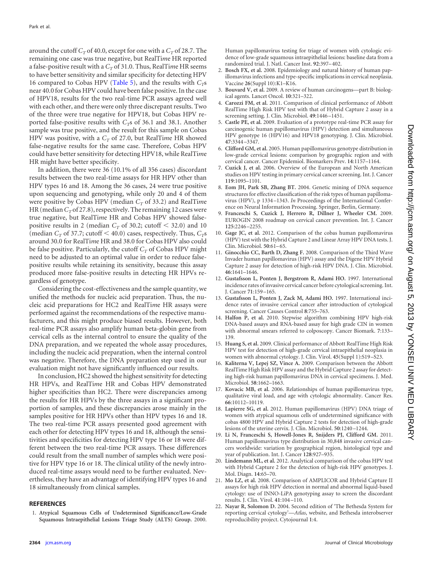<span id="page-6-20"></span>around the cutoff  $C_T$  of 40.0, except for one with a  $C_T$  of 28.7. The remaining one case was true negative, but RealTi*m*e HR reported a false-positive result with a  $C<sub>T</sub>$  of 31.0. Thus, RealTime HR seems to have better sensitivity and similar specificity for detecting HPV 16 compared to Cobas HPV [\(Table 5\)](#page-5-0), and the results with  $C_T s$ near 40.0 for Cobas HPV could have been false positive. In the case of HPV18, results for the two real-time PCR assays agreed well with each other, and there were only three discrepant results. Two of the three were true negative for HPV18, but Cobas HPV reported false-positive results with *C<sub>T</sub>s* of 36.1 and 38.1. Another sample was true positive, and the result for this sample on Cobas HPV was positive, with a  $C_T$  of 27.0, but RealTime HR showed false-negative results for the same case. Therefore, Cobas HPV could have better sensitivity for detecting HPV18, while RealTi*m*e HR might have better specificity.

In addition, there were 36 (10.1% of all 356 cases) discordant results between the two real-time assays for HR HPV other than HPV types 16 and 18. Among the 36 cases, 24 were true positive upon sequencing and genotyping, while only 20 and 4 of them were positive by Cobas HPV (median  $C_T$  of 33.2) and RealTime HR (median  $C<sub>T</sub>$  of 27.8), respectively. The remaining 12 cases were true negative, but RealTi*m*e HR and Cobas HPV showed falsepositive results in 2 (median  $C_T$  of 30.2; cutoff  $\leq$  32.0) and 10 (median  $C_T$  of 37.7; cutoff  $\leq 40.0$ ) cases, respectively. Thus,  $C_T$ s around 30.0 for RealTi*m*e HR and 38.0 for Cobas HPV also could be false positive. Particularly, the cutoff  $C_T$  of Cobas HPV might need to be adjusted to an optimal value in order to reduce falsepositive results while retaining its sensitivity, because this assay produced more false-positive results in detecting HR HPVs regardless of genotype.

Considering the cost-effectiveness and the sample quantity, we unified the methods for nucleic acid preparation. Thus, the nucleic acid preparations for HC2 and RealTi*m*e HR assays were performed against the recommendations of the respective manufacturers, and this might produce biased results. However, both real-time PCR assays also amplify human beta-globin gene from cervical cells as the internal control to ensure the quality of the DNA preparation, and we repeated the whole assay procedures, including the nucleic acid preparation, when the internal control was negative. Therefore, the DNA preparation step used in our evaluation might not have significantly influenced our results.

In conclusion, HC2 showed the highest sensitivity for detecting HR HPVs, and RealTi*m*e HR and Cobas HPV demonstrated higher specificities than HC2. There were discrepancies among the results for HR HPVs by the three assays in a significant proportion of samples, and these discrepancies arose mainly in the samples positive for HR HPVs other than HPV types 16 and 18. The two real-time PCR assays presented good agreement with each other for detecting HPV types 16 and 18, although the sensitivities and specificities for detecting HPV type 16 or 18 were different between the two real-time PCR assays. These differences could result from the small number of samples which were positive for HPV type 16 or 18. The clinical utility of the newly introduced real-time assays would need to be further evaluated. Nevertheless, they have an advantage of identifying HPV types 16 and 18 simultaneously from clinical samples.

#### <span id="page-6-9"></span>**REFERENCES**

1. **Atypical Squamous Cells of Undetermined Significance/Low-Grade Squamous Intraepithelial Lesions Triage Study (ALTS) Group.** 2000.

Human papillomavirus testing for triage of women with cytologic evidence of low-grade squamous intraepithelial lesions: baseline data from a randomized trial. J. Natl. Cancer Inst. **92**:397–402.

- <span id="page-6-1"></span>2. **Bosch FX, et al.** 2008. Epidemiology and natural history of human papillomavirus infections and type-specific implications in cervical neoplasia. Vaccine **26**(Suppl 10):K1–K16.
- <span id="page-6-0"></span>3. **Bouvard V, et al.** 2009. A review of human carcinogens—part B: biological agents. Lancet Oncol. **10**:321–322.
- <span id="page-6-16"></span>4. **Carozzi FM, et al.** 2011. Comparison of clinical performance of Abbott RealTime High Risk HPV test with that of Hybrid Capture 2 assay in a screening setting. J. Clin. Microbiol. **49**:1446 –1451.
- <span id="page-6-14"></span>5. **Castle PE, et al.** 2009. Evaluation of a prototype real-time PCR assay for carcinogenic human papillomavirus (HPV) detection and simultaneous HPV genotype 16 (HPV16) and HPV18 genotyping. J. Clin. Microbiol. **47**:3344 –3347.
- <span id="page-6-7"></span>6. **Clifford GM, et al.** 2005. Human papillomavirus genotype distribution in low-grade cervical lesions: comparison by geographic region and with cervical cancer. Cancer Epidemiol. Biomarkers Prev. **14**:1157–1164.
- <span id="page-6-10"></span>7. **Cuzick J, et al.** 2006. Overview of the European and North American studies on HPV testing in primary cervical cancer screening. Int. J. Cancer **119**:1095–1101.
- <span id="page-6-21"></span>8. **Eom JH, Park SB, Zhang BT.** 2004. Genetic mining of DNA sequence structures for effective classification of the risk types of human papillomavirus (HPV), p 1334 –1343. *In* Proceedings of the International Conference on Neural Information Processing. Springer, Berlin, Germany.
- <span id="page-6-8"></span>9. **Franceschi S, Cuzick J, Herrero R, Dillner J, Wheeler CM.** 2009. EUROGIN 2008 roadmap on cervical cancer prevention. Int. J. Cancer **125**:2246 –2255.
- <span id="page-6-18"></span>10. **Gage JC, et al.** 2012. Comparison of the cobas human papillomavirus (HPV) test with the Hybrid Capture 2 and Linear Array HPV DNA tests. J. Clin. Microbiol. **50**:61–65.
- <span id="page-6-12"></span>11. **Ginocchio CC, Barth D, Zhang F.** 2008. Comparison of the Third Wave Invader human papillomavirus (HPV) assay and the Digene HPV Hybrid Capture 2 assay for detection of high-risk HPV DNA. J. Clin. Microbiol. **46**:1641–1646.
- <span id="page-6-3"></span>12. **Gustafsson L, Ponten J, Bergstrom R, Adami HO.** 1997. International incidence rates of invasive cervical cancer before cytological screening. Int. J. Cancer **71**:159 –165.
- <span id="page-6-4"></span>13. **Gustafsson L, Ponten J, Zack M, Adami HO.** 1997. International incidence rates of invasive cervical cancer after introduction of cytological screening. Cancer Causes Control **8**:755–763.
- <span id="page-6-11"></span>14. **Halfon P, et al.** 2010. Stepwise algorithm combining HPV high-risk DNA-based assays and RNA-based assay for high grade CIN in women with abnormal smears referred to colposcopy. Cancer Biomark. **7**:133– 139.
- <span id="page-6-15"></span>15. **Huang S, et al.** 2009. Clinical performance of Abbott RealTime High Risk HPV test for detection of high-grade cervical intraepithelial neoplasia in women with abnormal cytology. J. Clin. Virol. **45**(Suppl 1):S19 –S23.
- <span id="page-6-17"></span>16. **Kaliterna V, Lepej SZ, Vince A.** 2009. Comparison between the Abbott RealTime High Risk HPV assay and the Hybrid Capture 2 assay for detecting high-risk human papillomavirus DNA in cervical specimens. J. Med. Microbiol. **58**:1662–1663.
- <span id="page-6-5"></span>17. **Kovacic MB, et al.** 2006. Relationships of human papillomavirus type, qualitative viral load, and age with cytologic abnormality. Cancer Res. **66**:10112–10119.
- <span id="page-6-22"></span>18. **Lapierre SG, et al.** 2012. Human papillomavirus (HPV) DNA triage of women with atypical squamous cells of undetermined significance with cobas 4800 HPV and Hybrid Capture 2 tests for detection of high-grade lesions of the uterine cervix. J. Clin. Microbiol. **50**:1240 –1244.
- <span id="page-6-2"></span>19. **Li N, Franceschi S, Howell-Jones R, Snijders PJ, Clifford GM.** 2011. Human papillomavirus type distribution in 30,848 invasive cervical cancers worldwide: variation by geographical region, histological type and year of publication. Int. J. Cancer **128**:927–935.
- <span id="page-6-19"></span>20. **Lindemann ML, et al.** 2012. Analytical comparison of the cobas HPV test with Hybrid Capture 2 for the detection of high-risk HPV genotypes. J. Mol. Diagn. **14**:65–70.
- <span id="page-6-13"></span>21. **Mo LZ, et al.** 2008. Comparison of AMPLICOR and Hybrid Capture II assays for high risk HPV detection in normal and abnormal liquid-based cytology: use of INNO-LiPA genotyping assay to screen the discordant results. J. Clin. Virol. **41**:104 –110.
- <span id="page-6-6"></span>22. **Nayar R, Solomon D.** 2004. Second edition of 'The Bethesda System for reporting cervical cytology'—*Atlas*, website, and Bethesda interobserver reproducibility project. Cytojournal **1**:4.